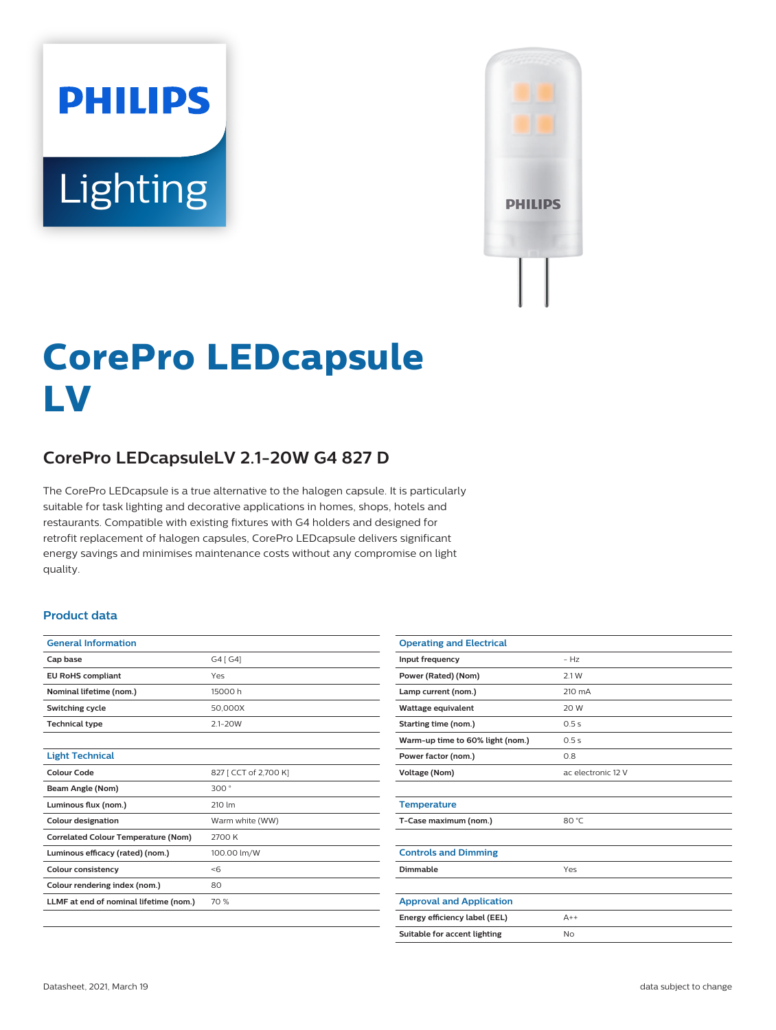# **PHILIPS** Lighting



# **CorePro LEDcapsule LV**

# **CorePro LEDcapsuleLV 2.1-20W G4 827 D**

The CorePro LEDcapsule is a true alternative to the halogen capsule. It is particularly suitable for task lighting and decorative applications in homes, shops, hotels and restaurants. Compatible with existing fixtures with G4 holders and designed for retrofit replacement of halogen capsules, CorePro LEDcapsule delivers significant energy savings and minimises maintenance costs without any compromise on light quality.

#### **Product data**

| <b>General Information</b>                 |                       |  |
|--------------------------------------------|-----------------------|--|
| Cap base                                   | G4 [ G4]              |  |
| <b>EU RoHS compliant</b>                   | Yes                   |  |
| Nominal lifetime (nom.)                    | 15000 h               |  |
| Switching cycle                            | 50,000X               |  |
| <b>Technical type</b>                      | $2.1 - 20W$           |  |
|                                            |                       |  |
| <b>Light Technical</b>                     |                       |  |
| Colour Code                                | 827 [ CCT of 2,700 K] |  |
| Beam Angle (Nom)                           | 300°                  |  |
| Luminous flux (nom.)                       | 210 lm                |  |
| <b>Colour designation</b>                  | Warm white (WW)       |  |
| <b>Correlated Colour Temperature (Nom)</b> | 2700 K                |  |
| Luminous efficacy (rated) (nom.)           | 100.00 lm/W           |  |
| <b>Colour consistency</b>                  | < 6                   |  |
| Colour rendering index (nom.)              | 80                    |  |
| LLMF at end of nominal lifetime (nom.)     | 70 %                  |  |
|                                            |                       |  |

| <b>Operating and Electrical</b>  |                    |
|----------------------------------|--------------------|
| Input frequency                  | $- H7$             |
| Power (Rated) (Nom)              | 2.1 W              |
| Lamp current (nom.)              | 210 mA             |
| Wattage equivalent               | 20 W               |
| Starting time (nom.)             | 0.5s               |
| Warm-up time to 60% light (nom.) | 0.5s               |
| Power factor (nom.)              | 0.8                |
| <b>Voltage (Nom)</b>             | ac electronic 12 V |
|                                  |                    |
| <b>Temperature</b>               |                    |
| T-Case maximum (nom.)            | 80 °C              |
|                                  |                    |
| <b>Controls and Dimming</b>      |                    |
| Dimmable                         | Yes                |
|                                  |                    |
| <b>Approval and Application</b>  |                    |
| Energy efficiency label (EEL)    | $A++$              |
| Suitable for accent lighting     | <b>No</b>          |
|                                  |                    |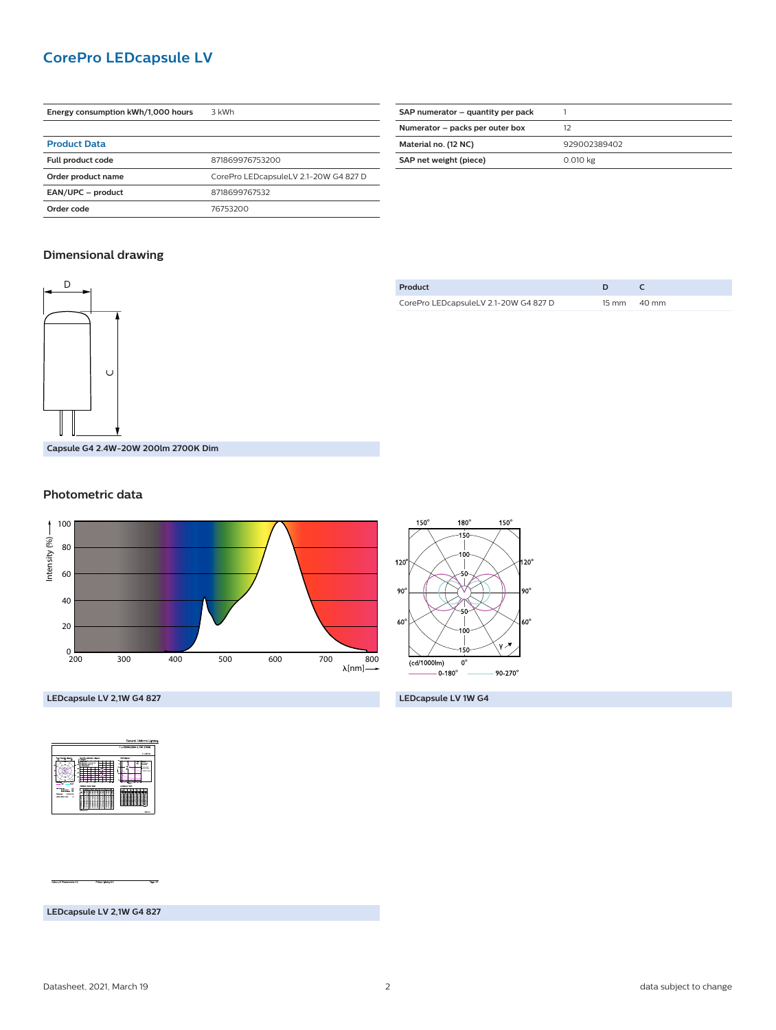## **CorePro LEDcapsule LV**

| Energy consumption kWh/1,000 hours | 3 kWh                                 |  |
|------------------------------------|---------------------------------------|--|
|                                    |                                       |  |
| <b>Product Data</b>                |                                       |  |
| Full product code                  | 871869976753200                       |  |
| Order product name                 | CorePro LEDcapsuleLV 2.1-20W G4 827 D |  |
| EAN/UPC - product                  | 8718699767532                         |  |
| Order code                         | 76753200                              |  |

| SAP numerator – quantity per pack |              |
|-----------------------------------|--------------|
| Numerator - packs per outer box   | 12           |
| Material no. (12 NC)              | 929002389402 |
| SAP net weight (piece)            | 0.010 kg     |
|                                   |              |

### **Dimensional drawing**



| Product                               |                       |
|---------------------------------------|-----------------------|
| CorePro LEDcapsuleLV 2.1-20W G4 827 D | $15 \text{ mm}$ 40 mm |

#### **Photometric data**





**LEDcapsule LV 2,1W G4 827 LEDcapsule LV 1W G4**



**LEDcapsule LV 2,1W G4 827**